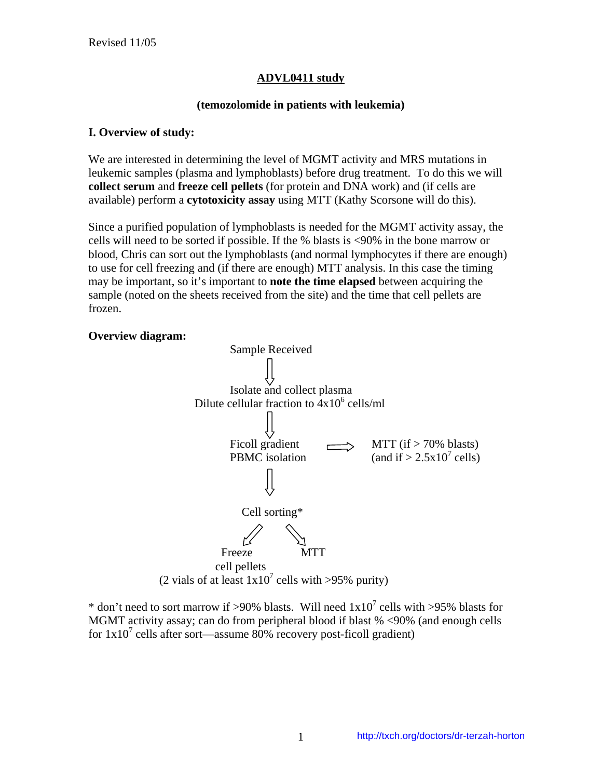### **ADVL0411 study**

#### **(temozolomide in patients with leukemia)**

#### **I. Overview of study:**

We are interested in determining the level of MGMT activity and MRS mutations in leukemic samples (plasma and lymphoblasts) before drug treatment. To do this we will **collect serum** and **freeze cell pellets** (for protein and DNA work) and (if cells are available) perform a **cytotoxicity assay** using MTT (Kathy Scorsone will do this).

Since a purified population of lymphoblasts is needed for the MGMT activity assay, the cells will need to be sorted if possible. If the % blasts is <90% in the bone marrow or blood, Chris can sort out the lymphoblasts (and normal lymphocytes if there are enough) to use for cell freezing and (if there are enough) MTT analysis. In this case the timing may be important, so it's important to **note the time elapsed** between acquiring the sample (noted on the sheets received from the site) and the time that cell pellets are frozen.

#### **Overview diagram:**



\* don't need to sort marrow if >90% blasts. Will need  $1x10^7$  cells with >95% blasts for MGMT activity assay; can do from peripheral blood if blast % <90% (and enough cells for  $1x10^7$  cells after sort—assume 80% recovery post-ficoll gradient)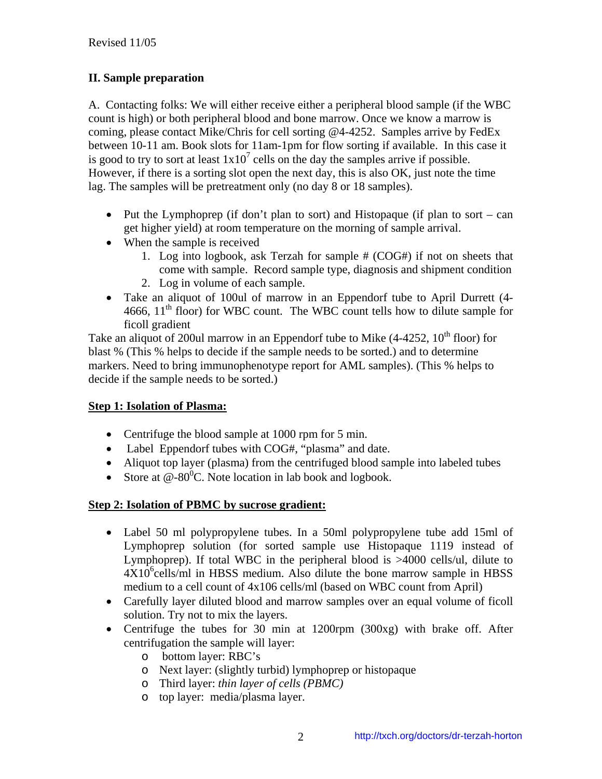# **II. Sample preparation**

A. Contacting folks: We will either receive either a peripheral blood sample (if the WBC count is high) or both peripheral blood and bone marrow. Once we know a marrow is coming, please contact Mike/Chris for cell sorting @4-4252. Samples arrive by FedEx between 10-11 am. Book slots for 11am-1pm for flow sorting if available. In this case it is good to try to sort at least  $1x10^7$  cells on the day the samples arrive if possible. However, if there is a sorting slot open the next day, this is also OK, just note the time lag. The samples will be pretreatment only (no day 8 or 18 samples).

- Put the Lymphoprep (if don't plan to sort) and Histopaque (if plan to sort can get higher yield) at room temperature on the morning of sample arrival.
- When the sample is received
	- 1. Log into logbook, ask Terzah for sample # (COG#) if not on sheets that come with sample. Record sample type, diagnosis and shipment condition
	- 2. Log in volume of each sample.
- Take an aliquot of 100ul of marrow in an Eppendorf tube to April Durrett (4- 4666,  $11<sup>th</sup>$  floor) for WBC count. The WBC count tells how to dilute sample for ficoll gradient

Take an aliquot of 200ul marrow in an Eppendorf tube to Mike  $(4-4252, 10<sup>th</sup>$  floor) for blast % (This % helps to decide if the sample needs to be sorted.) and to determine markers. Need to bring immunophenotype report for AML samples). (This % helps to decide if the sample needs to be sorted.)

## **Step 1: Isolation of Plasma:**

- Centrifuge the blood sample at 1000 rpm for 5 min.
- Label Eppendorf tubes with COG#, "plasma" and date.
- Aliquot top layer (plasma) from the centrifuged blood sample into labeled tubes
- Store at  $\mathcal{Q}$ -80<sup>0</sup>C. Note location in lab book and logbook.

## **Step 2: Isolation of PBMC by sucrose gradient:**

- Label 50 ml polypropylene tubes. In a 50ml polypropylene tube add 15ml of Lymphoprep solution (for sorted sample use Histopaque 1119 instead of Lymphoprep). If total WBC in the peripheral blood is >4000 cells/ul, dilute to  $4X10<sup>6</sup>$ cells/ml in HBSS medium. Also dilute the bone marrow sample in HBSS medium to a cell count of 4x106 cells/ml (based on WBC count from April)
- Carefully layer diluted blood and marrow samples over an equal volume of ficoll solution. Try not to mix the layers.
- Centrifuge the tubes for 30 min at 1200rpm (300xg) with brake off. After centrifugation the sample will layer:
	- o bottom layer: RBC's
	- o Next layer: (slightly turbid) lymphoprep or histopaque
	- o Third layer: *thin layer of cells (PBMC)*
	- o top layer: media/plasma layer.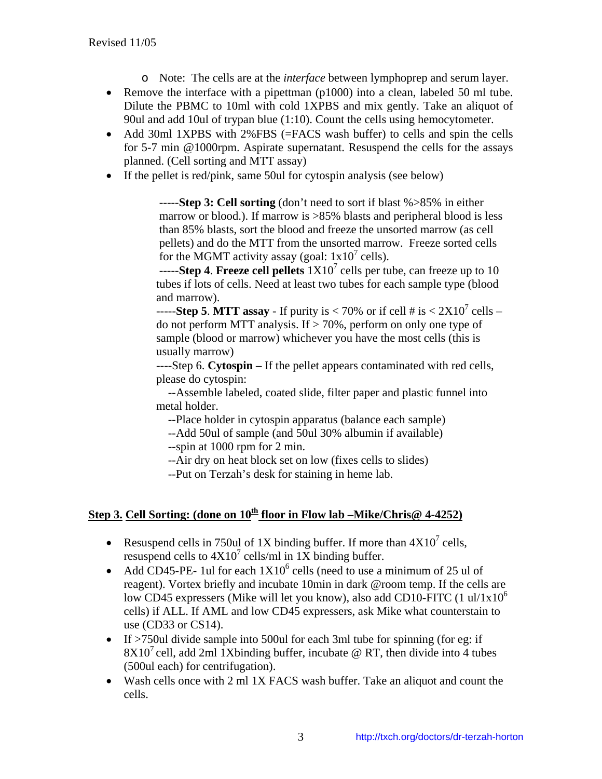- o Note: The cells are at the *interface* between lymphoprep and serum layer.
- Remove the interface with a pipettman (p1000) into a clean, labeled 50 ml tube. Dilute the PBMC to 10ml with cold 1XPBS and mix gently. Take an aliquot of 90ul and add 10ul of trypan blue (1:10). Count the cells using hemocytometer.
- Add 30ml 1XPBS with 2%FBS (=FACS wash buffer) to cells and spin the cells for 5-7 min @1000rpm. Aspirate supernatant. Resuspend the cells for the assays planned. (Cell sorting and MTT assay)
- If the pellet is red/pink, same 50ul for cytospin analysis (see below)

-----**Step 3: Cell sorting** (don't need to sort if blast %>85% in either marrow or blood.). If marrow is >85% blasts and peripheral blood is less than 85% blasts, sort the blood and freeze the unsorted marrow (as cell pellets) and do the MTT from the unsorted marrow. Freeze sorted cells for the MGMT activity assay (goal:  $1x10^7$  cells).

-----**Step 4. Freeze cell pellets**  $1X10^7$  cells per tube, can freeze up to 10 tubes if lots of cells. Need at least two tubes for each sample type (blood and marrow).

-----**Step 5. MTT assay** - If purity is  $< 70\%$  or if cell # is  $< 2X10^7$  cells – do not perform MTT analysis. If  $> 70\%$ , perform on only one type of sample (blood or marrow) whichever you have the most cells (this is usually marrow)

----Step 6. **Cytospin –** If the pellet appears contaminated with red cells, please do cytospin:

 --Assemble labeled, coated slide, filter paper and plastic funnel into metal holder.

--Place holder in cytospin apparatus (balance each sample)

--Add 50ul of sample (and 50ul 30% albumin if available)

--spin at 1000 rpm for 2 min.

--Air dry on heat block set on low (fixes cells to slides)

--Put on Terzah's desk for staining in heme lab.

## **Step 3. Cell Sorting: (done on**  $10^{\underline{h}}$  **floor in Flow lab –Mike/Chris@ 4-4252)**

- Resuspend cells in 750ul of 1X binding buffer. If more than  $4X10<sup>7</sup>$  cells, resuspend cells to  $4X10^7$  cells/ml in 1X binding buffer.
- Add CD45-PE- 1ul for each  $1X10^6$  cells (need to use a minimum of 25 ul of reagent). Vortex briefly and incubate 10min in dark @room temp. If the cells are low CD45 expressers (Mike will let you know), also add CD10-FITC (1 ul/1x10<sup>o</sup> cells) if ALL. If AML and low CD45 expressers, ask Mike what counterstain to use (CD33 or CS14).
- If >750ul divide sample into 500ul for each 3ml tube for spinning (for eg: if  $8X10<sup>7</sup>$  cell, add 2ml 1Xbinding buffer, incubate @ RT, then divide into 4 tubes (500ul each) for centrifugation).
- Wash cells once with 2 ml 1X FACS wash buffer. Take an aliquot and count the cells.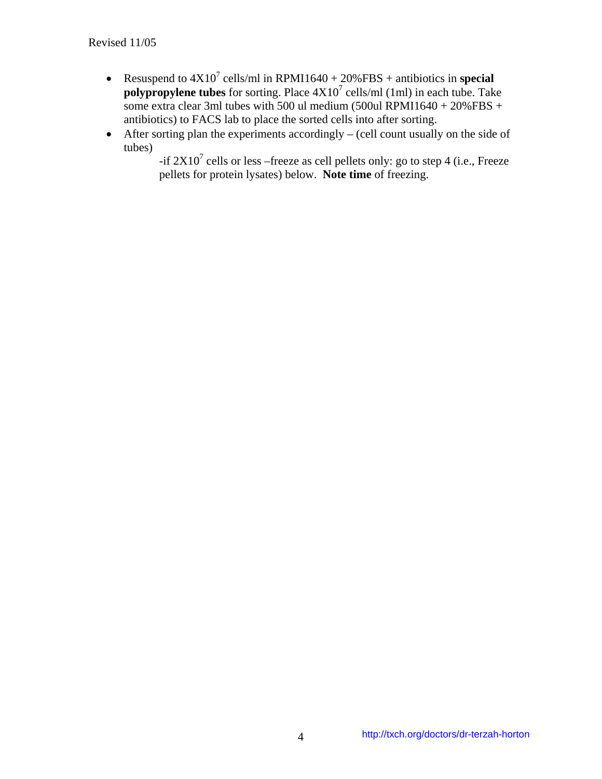- Resuspend to  $4X10^7$  cells/ml in RPMI1640 + 20%FBS + antibiotics in **special polypropylene tubes** for sorting. Place  $4X10^7$  cells/ml (1ml) in each tube. Take some extra clear 3ml tubes with 500 ul medium (500 ul RPMI1640 + 20%FBS + antibiotics) to FACS lab to place the sorted cells into after sorting.
- After sorting plan the experiments accordingly (cell count usually on the side of tubes)

-if  $2X10<sup>7</sup>$  cells or less –freeze as cell pellets only: go to step 4 (i.e., Freeze pellets for protein lysates) below. **Note time** of freezing.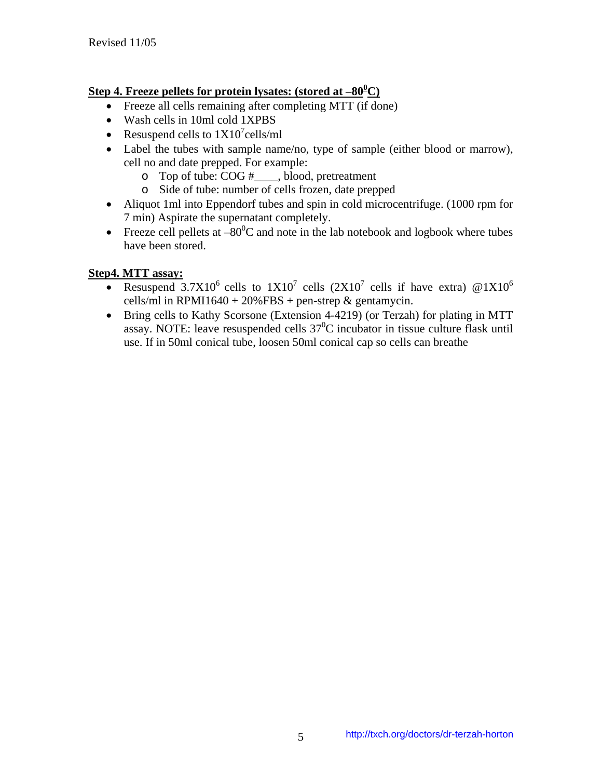## **Step 4. Freeze pellets for protein lysates: (stored at –80<sup>0</sup> C)**

- Freeze all cells remaining after completing MTT (if done)
- Wash cells in 10ml cold 1XPBS
- Resuspend cells to  $1X10^7$ cells/ml
- Label the tubes with sample name/no, type of sample (either blood or marrow), cell no and date prepped. For example:
	- o Top of tube: COG #\_\_\_\_, blood, pretreatment
	- o Side of tube: number of cells frozen, date prepped
- Aliquot 1ml into Eppendorf tubes and spin in cold microcentrifuge. (1000 rpm for 7 min) Aspirate the supernatant completely.
- Freeze cell pellets at  $-80^{\circ}$ C and note in the lab notebook and logbook where tubes have been stored.

### **Step4. MTT assay:**

- Resuspend 3.7X10<sup>6</sup> cells to  $1X10^7$  cells  $(2X10^7 \text{ cells if have extra})$  @ $1X10^6$ cells/ml in RPMI1640 + 20%FBS + pen-strep  $&$  gentamycin.
- Bring cells to Kathy Scorsone (Extension 4-4219) (or Terzah) for plating in MTT assay. NOTE: leave resuspended cells  $37^0C$  incubator in tissue culture flask until use. If in 50ml conical tube, loosen 50ml conical cap so cells can breathe